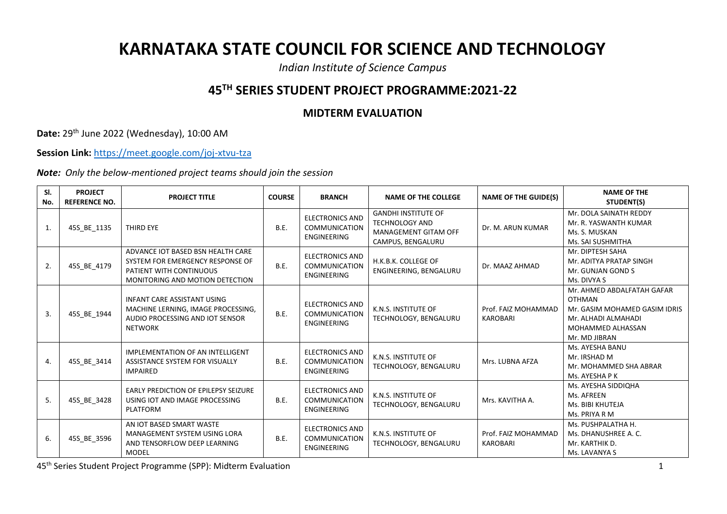## **KARNATAKA STATE COUNCIL FOR SCIENCE AND TECHNOLOGY**

*Indian Institute of Science Campus*

## **45TH SERIES STUDENT PROJECT PROGRAMME:2021-22**

## **MIDTERM EVALUATION**

**Date:** 29th June 2022 (Wednesday), 10:00 AM

**Session Link:** <https://meet.google.com/joj-xtvu-tza>

*Note: Only the below-mentioned project teams should join the session*

| SI.<br>No. | <b>PROJECT</b><br><b>REFERENCE NO.</b> | <b>PROJECT TITLE</b>                                                                                                                | <b>COURSE</b> | <b>BRANCH</b>                                                 | <b>NAME OF THE COLLEGE</b>                                                                       | <b>NAME OF THE GUIDE(S)</b>            | <b>NAME OF THE</b><br>STUDENT(S)                                                                                                          |
|------------|----------------------------------------|-------------------------------------------------------------------------------------------------------------------------------------|---------------|---------------------------------------------------------------|--------------------------------------------------------------------------------------------------|----------------------------------------|-------------------------------------------------------------------------------------------------------------------------------------------|
| 1.         | 45S_BE_1135                            | THIRD EYE                                                                                                                           | B.E.          | <b>ELECTRONICS AND</b><br><b>COMMUNICATION</b><br>ENGINEERING | <b>GANDHI INSTITUTE OF</b><br><b>TECHNOLOGY AND</b><br>MANAGEMENT GITAM OFF<br>CAMPUS, BENGALURU | Dr. M. ARUN KUMAR                      | Mr. DOLA SAINATH REDDY<br>Mr. R. YASWANTH KUMAR<br>Ms. S. MUSKAN<br>Ms. SAI SUSHMITHA                                                     |
| 2.         | 45S_BE_4179                            | ADVANCE IOT BASED BSN HEALTH CARE<br>SYSTEM FOR EMERGENCY RESPONSE OF<br>PATIENT WITH CONTINUOUS<br>MONITORING AND MOTION DETECTION | <b>B.E.</b>   | <b>ELECTRONICS AND</b><br><b>COMMUNICATION</b><br>ENGINEERING | H.K.B.K. COLLEGE OF<br>ENGINEERING, BENGALURU                                                    | Dr. MAAZ AHMAD                         | Mr. DIPTESH SAHA<br>Mr. ADITYA PRATAP SINGH<br>Mr. GUNJAN GOND S<br>Ms. DIVYA S                                                           |
| 3.         | 45S BE 1944                            | <b>INFANT CARE ASSISTANT USING</b><br>MACHINE LERNING, IMAGE PROCESSING,<br>AUDIO PROCESSING AND IOT SENSOR<br><b>NETWORK</b>       | B.E.          | <b>ELECTRONICS AND</b><br><b>COMMUNICATION</b><br>ENGINEERING | K.N.S. INSTITUTE OF<br>TECHNOLOGY, BENGALURU                                                     | Prof. FAIZ MOHAMMAD<br><b>KAROBARI</b> | Mr. AHMED ABDALFATAH GAFAR<br><b>OTHMAN</b><br>Mr. GASIM MOHAMED GASIM IDRIS<br>Mr. ALHADI ALMAHADI<br>MOHAMMED ALHASSAN<br>Mr. MD JIBRAN |
| 4.         | 45S BE 3414                            | <b>IMPLEMENTATION OF AN INTELLIGENT</b><br>ASSISTANCE SYSTEM FOR VISUALLY<br><b>IMPAIRED</b>                                        | <b>B.E.</b>   | <b>ELECTRONICS AND</b><br><b>COMMUNICATION</b><br>ENGINEERING | K.N.S. INSTITUTE OF<br>TECHNOLOGY, BENGALURU                                                     | Mrs. LUBNA AFZA                        | Ms. AYESHA BANU<br>Mr. IRSHAD M<br>Mr. MOHAMMED SHA ABRAR<br>Ms. AYESHA P K                                                               |
| 5.         | 45S_BE_3428                            | EARLY PREDICTION OF EPILEPSY SEIZURE<br>USING IOT AND IMAGE PROCESSING<br><b>PLATFORM</b>                                           | B.E.          | <b>ELECTRONICS AND</b><br><b>COMMUNICATION</b><br>ENGINEERING | K.N.S. INSTITUTE OF<br>TECHNOLOGY, BENGALURU                                                     | Mrs. KAVITHA A.                        | Ms. AYESHA SIDDIQHA<br>Ms. AFREEN<br>Ms. BIBI KHUTEJA<br>Ms. PRIYA R M                                                                    |
| 6.         | 45S BE 3596                            | AN IOT BASED SMART WASTE<br>MANAGEMENT SYSTEM USING LORA<br>AND TENSORFLOW DEEP LEARNING<br><b>MODEL</b>                            | B.E.          | <b>ELECTRONICS AND</b><br><b>COMMUNICATION</b><br>ENGINEERING | K.N.S. INSTITUTE OF<br>TECHNOLOGY, BENGALURU                                                     | Prof. FAIZ MOHAMMAD<br><b>KAROBARI</b> | Ms. PUSHPALATHA H.<br>Ms. DHANUSHREE A. C.<br>Mr. KARTHIK D.<br>Ms. LAVANYA S                                                             |

45th Series Student Project Programme (SPP): Midterm Evaluation 1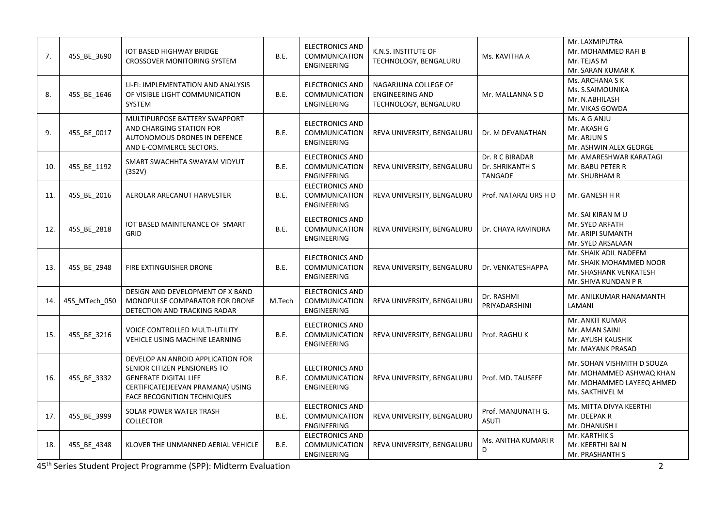| 7.  | 45S BE 3690   | <b>IOT BASED HIGHWAY BRIDGE</b><br><b>CROSSOVER MONITORING SYSTEM</b>                                                                                                        | B.E.   | <b>ELECTRONICS AND</b><br>COMMUNICATION<br>ENGINEERING        | K.N.S. INSTITUTE OF<br>TECHNOLOGY, BENGALURU                            | Ms. KAVITHA A                                 | Mr. LAXMIPUTRA<br>Mr. MOHAMMED RAFI B<br>Mr. TEJAS M<br>Mr. SARAN KUMAR K                              |
|-----|---------------|------------------------------------------------------------------------------------------------------------------------------------------------------------------------------|--------|---------------------------------------------------------------|-------------------------------------------------------------------------|-----------------------------------------------|--------------------------------------------------------------------------------------------------------|
| 8.  | 45S_BE_1646   | LI-FI: IMPLEMENTATION AND ANALYSIS<br>OF VISIBLE LIGHT COMMUNICATION<br><b>SYSTEM</b>                                                                                        | B.E.   | <b>ELECTRONICS AND</b><br><b>COMMUNICATION</b><br>ENGINEERING | NAGARJUNA COLLEGE OF<br><b>ENGINEERING AND</b><br>TECHNOLOGY, BENGALURU | Mr. MALLANNA S D                              | Ms. ARCHANA S K<br>Ms. S.SAIMOUNIKA<br>Mr. N.ABHILASH<br>Mr. VIKAS GOWDA                               |
| 9.  | 45S_BE_0017   | MULTIPURPOSE BATTERY SWAPPORT<br>AND CHARGING STATION FOR<br>AUTONOMOUS DRONES IN DEFENCE<br>AND E-COMMERCE SECTORS.                                                         | B.E.   | <b>ELECTRONICS AND</b><br>COMMUNICATION<br>ENGINEERING        | REVA UNIVERSITY, BENGALURU                                              | Dr. M DEVANATHAN                              | Ms. A G ANJU<br>Mr. AKASH G<br>Mr. ARJUN S<br>Mr. ASHWIN ALEX GEORGE                                   |
| 10. | 45S_BE_1192   | SMART SWACHHTA SWAYAM VIDYUT<br>(3S2V)                                                                                                                                       | B.E.   | <b>ELECTRONICS AND</b><br>COMMUNICATION<br>ENGINEERING        | REVA UNIVERSITY, BENGALURU                                              | Dr. R C BIRADAR<br>Dr. SHRIKANTH S<br>TANGADE | Mr. AMARESHWAR KARATAGI<br>Mr. BABU PETER R<br>Mr. SHUBHAM R                                           |
| 11. | 45S_BE_2016   | AEROLAR ARECANUT HARVESTER                                                                                                                                                   | B.E.   | <b>ELECTRONICS AND</b><br>COMMUNICATION<br>ENGINEERING        | REVA UNIVERSITY, BENGALURU                                              | Prof. NATARAJ URS H D                         | Mr. GANESH H R                                                                                         |
| 12. | 45S_BE_2818   | IOT BASED MAINTENANCE OF SMART<br>GRID                                                                                                                                       | B.E.   | <b>ELECTRONICS AND</b><br><b>COMMUNICATION</b><br>ENGINEERING | REVA UNIVERSITY, BENGALURU                                              | Dr. CHAYA RAVINDRA                            | Mr. SAI KIRAN MU<br>Mr. SYED ARFATH<br>Mr. ARIPI SUMANTH<br>Mr. SYED ARSALAAN                          |
| 13. | 45S_BE_2948   | FIRE EXTINGUISHER DRONE                                                                                                                                                      | B.E.   | <b>ELECTRONICS AND</b><br><b>COMMUNICATION</b><br>ENGINEERING | REVA UNIVERSITY, BENGALURU                                              | Dr. VENKATESHAPPA                             | Mr. SHAIK ADIL NADEEM<br>Mr. SHAIK MOHAMMED NOOR<br>Mr. SHASHANK VENKATESH<br>Mr. SHIVA KUNDAN P R     |
| 14. | 45S MTech 050 | DESIGN AND DEVELOPMENT OF X BAND<br>MONOPULSE COMPARATOR FOR DRONE<br>DETECTION AND TRACKING RADAR                                                                           | M.Tech | <b>ELECTRONICS AND</b><br>COMMUNICATION<br>ENGINEERING        | REVA UNIVERSITY, BENGALURU                                              | Dr. RASHMI<br>PRIYADARSHINI                   | Mr. ANILKUMAR HANAMANTH<br>LAMANI                                                                      |
| 15. | 45S BE 3216   | VOICE CONTROLLED MULTI-UTILITY<br>VEHICLE USING MACHINE LEARNING                                                                                                             | B.E.   | <b>ELECTRONICS AND</b><br><b>COMMUNICATION</b><br>ENGINEERING | REVA UNIVERSITY, BENGALURU                                              | Prof. RAGHU K                                 | Mr. ANKIT KUMAR<br>Mr. AMAN SAINI<br>Mr. AYUSH KAUSHIK<br>Mr. MAYANK PRASAD                            |
| 16. | 45S_BE_3332   | DEVELOP AN ANROID APPLICATION FOR<br>SENIOR CITIZEN PENSIONERS TO<br><b>GENERATE DIGITAL LIFE</b><br>CERTIFICATE(JEEVAN PRAMANA) USING<br><b>FACE RECOGNITION TECHNIQUES</b> | B.E.   | <b>ELECTRONICS AND</b><br><b>COMMUNICATION</b><br>ENGINEERING | REVA UNIVERSITY, BENGALURU                                              | Prof. MD. TAUSEEF                             | Mr. SOHAN VISHMITH D SOUZA<br>Mr. MOHAMMED ASHWAQ KHAN<br>Mr. MOHAMMED LAYEEQ AHMED<br>Ms. SAKTHIVEL M |
| 17. | 45S_BE_3999   | SOLAR POWER WATER TRASH<br><b>COLLECTOR</b>                                                                                                                                  | B.E.   | <b>ELECTRONICS AND</b><br>COMMUNICATION<br>ENGINEERING        | REVA UNIVERSITY, BENGALURU                                              | Prof. MANJUNATH G.<br><b>ASUTI</b>            | Ms. MITTA DIVYA KEERTHI<br>Mr. DEEPAK R<br>Mr. DHANUSH I                                               |
| 18. | 45S_BE_4348   | KLOVER THE UNMANNED AERIAL VEHICLE                                                                                                                                           | B.E.   | <b>ELECTRONICS AND</b><br>COMMUNICATION<br>ENGINEERING        | REVA UNIVERSITY, BENGALURU                                              | Ms. ANITHA KUMARI R<br>D                      | Mr. KARTHIK S<br>Mr. KEERTHI BAI N<br>Mr. PRASHANTH S                                                  |

45th Series Student Project Programme (SPP): Midterm Evaluation 2